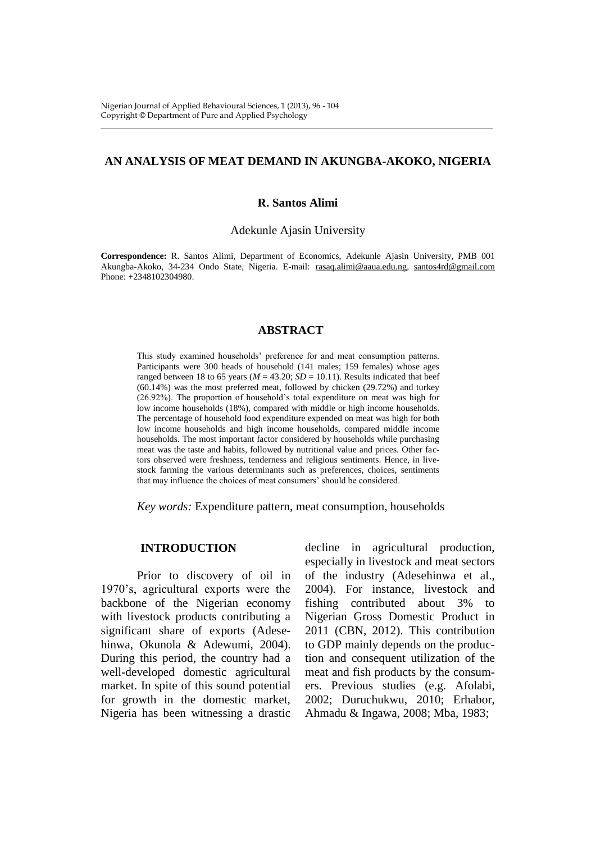# **AN ANALYSIS OF MEAT DEMAND IN AKUNGBA-AKOKO, NIGERIA**

\_\_\_\_\_\_\_\_\_\_\_\_\_\_\_\_\_\_\_\_\_\_\_\_\_\_\_\_\_\_\_\_\_\_\_\_\_\_\_\_\_\_\_\_\_\_\_\_\_\_\_\_\_\_\_\_\_\_\_\_\_\_\_\_\_\_\_\_\_\_\_\_\_\_\_\_\_\_\_\_\_\_\_\_\_\_\_\_\_\_\_\_\_\_\_\_\_\_

### **R. Santos Alimi**

Adekunle Ajasin University

**Correspondence:** R. Santos Alimi, Department of Economics, Adekunle Ajasin University, PMB 001 Akungba-Akoko, 34-234 Ondo State, Nigeria. E-mail: [rasaq.alimi@aaua.edu.ng,](mailto:rasaq.alimi@aaua.edu.ng) [santos4rd@gmail.com](mailto:santos4rd@gmail.com) Phone: +2348102304980.

### **ABSTRACT**

This study examined households' preference for and meat consumption patterns. Participants were 300 heads of household (141 males; 159 females) whose ages ranged between 18 to 65 years ( $M = 43.20$ ;  $SD = 10.11$ ). Results indicated that beef (60.14%) was the most preferred meat, followed by chicken (29.72%) and turkey (26.92%). The proportion of household's total expenditure on meat was high for low income households (18%), compared with middle or high income households. The percentage of household food expenditure expended on meat was high for both low income households and high income households, compared middle income households. The most important factor considered by households while purchasing meat was the taste and habits, followed by nutritional value and prices. Other factors observed were freshness, tenderness and religious sentiments. Hence, in livestock farming the various determinants such as preferences, choices, sentiments that may influence the choices of meat consumers' should be considered.

*Key words:* Expenditure pattern, meat consumption, households

### **INTRODUCTION**

Prior to discovery of oil in 1970's, agricultural exports were the backbone of the Nigerian economy with livestock products contributing a significant share of exports (Adesehinwa, Okunola & Adewumi, 2004). During this period, the country had a well-developed domestic agricultural market. In spite of this sound potential for growth in the domestic market, Nigeria has been witnessing a drastic

decline in agricultural production, especially in livestock and meat sectors of the industry (Adesehinwa et al., 2004). For instance, livestock and fishing contributed about 3% to Nigerian Gross Domestic Product in 2011 (CBN, 2012). This contribution to GDP mainly depends on the production and consequent utilization of the meat and fish products by the consumers. Previous studies (e.g. Afolabi, 2002; Duruchukwu, 2010; Erhabor, Ahmadu & Ingawa, 2008; Mba, 1983;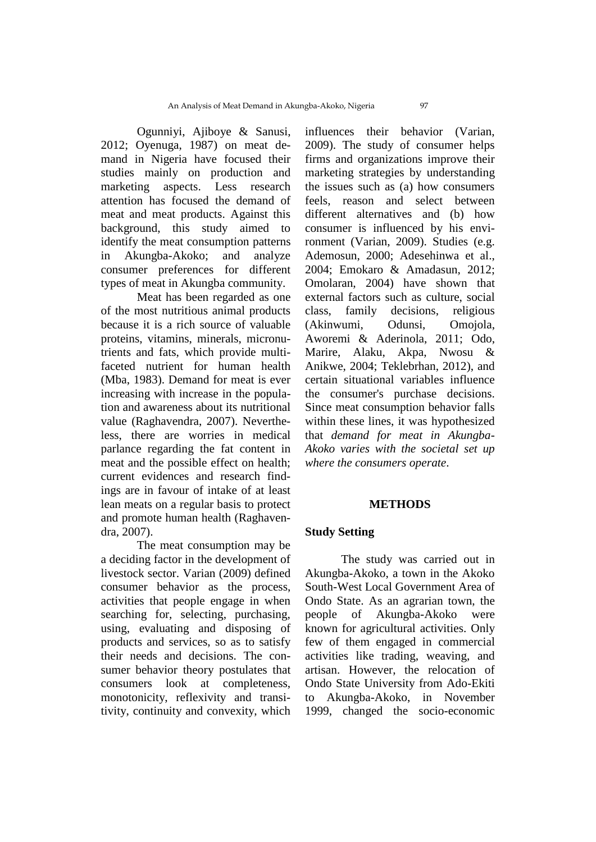Ogunniyi, Ajiboye & Sanusi, 2012; Oyenuga, 1987) on meat demand in Nigeria have focused their studies mainly on production and marketing aspects. Less research attention has focused the demand of meat and meat products. Against this background, this study aimed to identify the meat consumption patterns in Akungba-Akoko; and analyze consumer preferences for different types of meat in Akungba community.

Meat has been regarded as one of the most nutritious animal products because it is a rich source of valuable proteins, vitamins, minerals, micronutrients and fats, which provide multifaceted nutrient for human health (Mba, 1983). Demand for meat is ever increasing with increase in the population and awareness about its nutritional value (Raghavendra, 2007). Nevertheless, there are worries in medical parlance regarding the fat content in meat and the possible effect on health; current evidences and research findings are in favour of intake of at least lean meats on a regular basis to protect and promote human health (Raghavendra, 2007).

The meat consumption may be a deciding factor in the development of livestock sector. Varian (2009) defined consumer behavior as the process, activities that people engage in when searching for, selecting, purchasing, using, evaluating and disposing of products and services, so as to satisfy their needs and decisions. The consumer behavior theory postulates that consumers look at completeness, monotonicity, reflexivity and transitivity, continuity and convexity, which

influences their behavior (Varian, 2009). The study of consumer helps firms and organizations improve their marketing strategies by understanding the issues such as (a) how consumers feels, reason and select between different alternatives and (b) how consumer is influenced by his environment (Varian, 2009). Studies (e.g. Ademosun, 2000; Adesehinwa et al., 2004; Emokaro & Amadasun, 2012; Omolaran, 2004) have shown that external factors such as culture, social class, family decisions, religious (Akinwumi, Odunsi, Omojola, Aworemi & Aderinola, 2011; Odo, Marire, Alaku, Akpa, Nwosu & Anikwe, 2004; Teklebrhan, 2012), and certain situational variables influence the consumer's purchase decisions. Since meat consumption behavior falls within these lines, it was hypothesized that *demand for meat in Akungba-Akoko varies with the societal set up where the consumers operate*.

### **METHODS**

### **Study Setting**

The study was carried out in Akungba-Akoko, a town in the Akoko South-West Local Government Area of Ondo State. As an agrarian town, the people of Akungba-Akoko were known for agricultural activities. Only few of them engaged in commercial activities like trading, weaving, and artisan. However, the relocation of Ondo State University from Ado-Ekiti to Akungba-Akoko, in November 1999, changed the socio-economic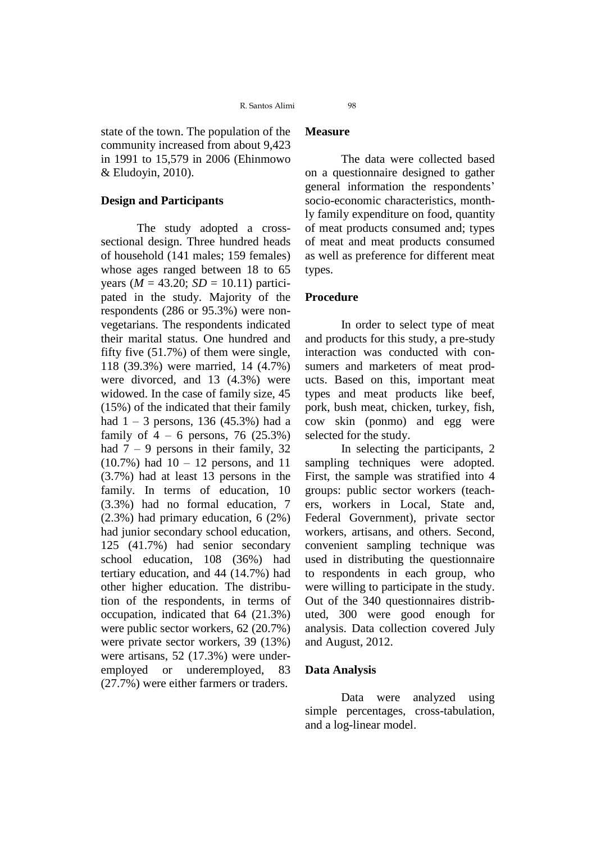R. Santos Alimi 98

state of the town. The population of the community increased from about 9,423 in 1991 to 15,579 in 2006 (Ehinmowo & Eludoyin, 2010).

## **Design and Participants**

The study adopted a crosssectional design. Three hundred heads of household (141 males; 159 females) whose ages ranged between 18 to 65 years ( $M = 43.20$ ;  $SD = 10.11$ ) participated in the study. Majority of the respondents (286 or 95.3%) were nonvegetarians. The respondents indicated their marital status. One hundred and fifty five (51.7%) of them were single, 118 (39.3%) were married, 14 (4.7%) were divorced, and 13 (4.3%) were widowed. In the case of family size, 45 (15%) of the indicated that their family had  $1 - 3$  persons, 136 (45.3%) had a family of  $4 - 6$  persons, 76 (25.3%) had  $7 - 9$  persons in their family, 32  $(10.7\%)$  had  $10 - 12$  persons, and 11 (3.7%) had at least 13 persons in the family. In terms of education, 10 (3.3%) had no formal education, 7 (2.3%) had primary education, 6 (2%) had junior secondary school education, 125 (41.7%) had senior secondary school education, 108 (36%) had tertiary education, and 44 (14.7%) had other higher education. The distribution of the respondents, in terms of occupation, indicated that 64 (21.3%) were public sector workers, 62 (20.7%) were private sector workers, 39 (13%) were artisans, 52 (17.3%) were underemployed or underemployed, 83 (27.7%) were either farmers or traders.

# **Measure**

The data were collected based on a questionnaire designed to gather general information the respondents' socio-economic characteristics, monthly family expenditure on food, quantity of meat products consumed and; types of meat and meat products consumed as well as preference for different meat types.

# **Procedure**

In order to select type of meat and products for this study, a pre-study interaction was conducted with consumers and marketers of meat products. Based on this, important meat types and meat products like beef, pork, bush meat, chicken, turkey, fish, cow skin (ponmo) and egg were selected for the study.

In selecting the participants, 2 sampling techniques were adopted. First, the sample was stratified into 4 groups: public sector workers (teachers, workers in Local, State and, Federal Government), private sector workers, artisans, and others. Second, convenient sampling technique was used in distributing the questionnaire to respondents in each group, who were willing to participate in the study. Out of the 340 questionnaires distributed, 300 were good enough for analysis. Data collection covered July and August, 2012.

# **Data Analysis**

Data were analyzed using simple percentages, cross-tabulation, and a log-linear model.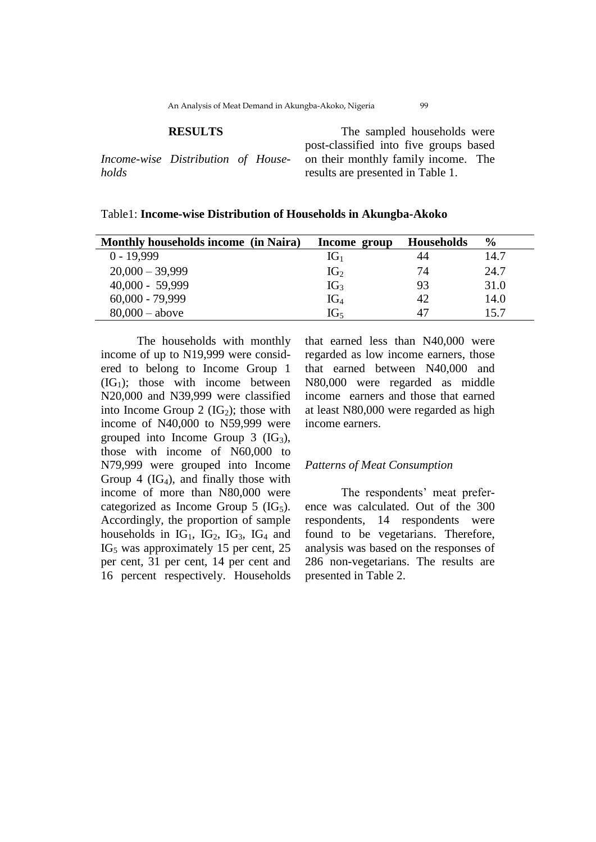### **RESULTS**

*Income-wise Distribution of Households*

The sampled households were post-classified into five groups based on their monthly family income. The results are presented in Table 1.

| Table1: Income-wise Distribution of Households in Akungba-Akoko |  |
|-----------------------------------------------------------------|--|
|-----------------------------------------------------------------|--|

| <b>Monthly households income (in Naira)</b> | Income group    | <b>Households</b> | $\frac{6}{9}$ |
|---------------------------------------------|-----------------|-------------------|---------------|
| $0 - 19,999$                                | $IG_1$          | 44                | 14.7          |
| $20,000 - 39,999$                           | IG <sub>2</sub> | 74                | 24.7          |
| $40,000 - 59,999$                           | IG <sub>3</sub> | 93                | 31.0          |
| $60,000 - 79,999$                           | $IG_4$          | 42                | 14.0          |
| $80,000 - above$                            | IG <sub>5</sub> |                   | 15.7          |

The households with monthly income of up to N19,999 were considered to belong to Income Group 1  $(IG<sub>1</sub>)$ ; those with income between N20,000 and N39,999 were classified into Income Group 2  $(IG_2)$ ; those with income of N40,000 to N59,999 were grouped into Income Group  $3$  (IG<sub>3</sub>), those with income of N60,000 to N79,999 were grouped into Income Group 4  $(IG<sub>4</sub>)$ , and finally those with income of more than N80,000 were categorized as Income Group  $5$  (IG<sub>5</sub>). Accordingly, the proportion of sample households in  $IG<sub>1</sub>$ ,  $IG<sub>2</sub>$ ,  $IG<sub>3</sub>$ ,  $IG<sub>4</sub>$  and  $IG<sub>5</sub>$  was approximately 15 per cent, 25 per cent, 31 per cent, 14 per cent and 16 percent respectively. Households

that earned less than N40,000 were regarded as low income earners, those that earned between N40,000 and N80,000 were regarded as middle income earners and those that earned at least N80,000 were regarded as high income earners.

### *Patterns of Meat Consumption*

The respondents' meat preference was calculated. Out of the 300 respondents, 14 respondents were found to be vegetarians. Therefore, analysis was based on the responses of 286 non-vegetarians. The results are presented in Table 2.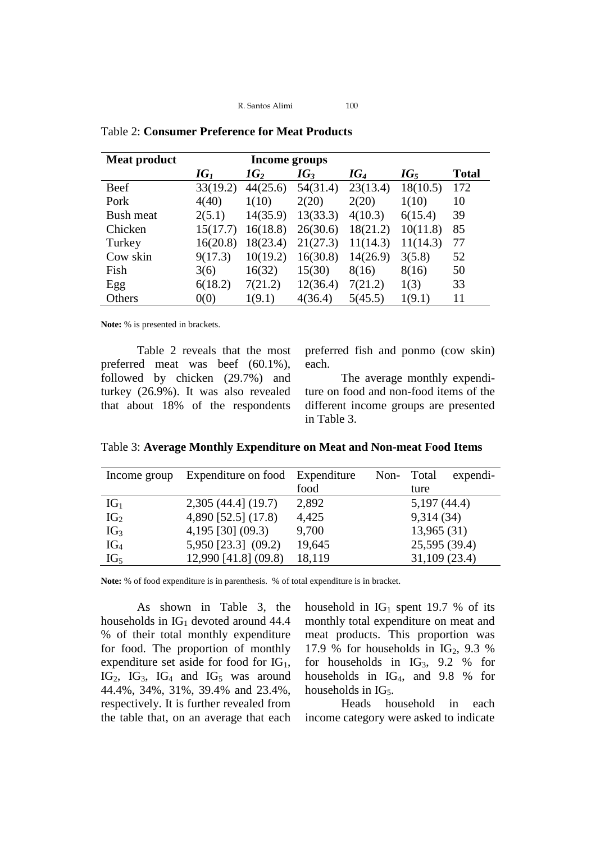R. Santos Alimi 100

| <b>Meat product</b> | Income groups |          |          |          |          |              |  |
|---------------------|---------------|----------|----------|----------|----------|--------------|--|
|                     | $IG_1$        | $1G_2$   | $IG_3$   | $IG_4$   | $IG_5$   | <b>Total</b> |  |
| Beef                | 33(19.2)      | 44(25.6) | 54(31.4) | 23(13.4) | 18(10.5) | 172          |  |
| Pork                | 4(40)         | 1(10)    | 2(20)    | 2(20)    | 1(10)    | 10           |  |
| Bush meat           | 2(5.1)        | 14(35.9) | 13(33.3) | 4(10.3)  | 6(15.4)  | 39           |  |
| Chicken             | 15(17.7)      | 16(18.8) | 26(30.6) | 18(21.2) | 10(11.8) | 85           |  |
| Turkey              | 16(20.8)      | 18(23.4) | 21(27.3) | 11(14.3) | 11(14.3) | 77           |  |
| Cow skin            | 9(17.3)       | 10(19.2) | 16(30.8) | 14(26.9) | 3(5.8)   | 52           |  |
| Fish                | 3(6)          | 16(32)   | 15(30)   | 8(16)    | 8(16)    | 50           |  |
| Egg                 | 6(18.2)       | 7(21.2)  | 12(36.4) | 7(21.2)  | 1(3)     | 33           |  |
| Others              | 0(0)          | 1(9.1)   | 4(36.4)  | 5(45.5)  | 1(9.1)   | 11           |  |

Table 2: **Consumer Preference for Meat Products**

**Note:** % is presented in brackets.

Table 2 reveals that the most preferred meat was beef (60.1%), followed by chicken (29.7%) and turkey (26.9%). It was also revealed that about 18% of the respondents

preferred fish and ponmo (cow skin) each.

The average monthly expenditure on food and non-food items of the different income groups are presented in Table 3.

| Table 3: Average Monthly Expenditure on Meat and Non-meat Food Items |  |  |  |
|----------------------------------------------------------------------|--|--|--|
|                                                                      |  |  |  |

| Income group    | Expenditure on food   | Expenditure | Non- | Total         | expendi- |
|-----------------|-----------------------|-------------|------|---------------|----------|
|                 |                       | food        |      | ture          |          |
| $IG_1$          | $2,305$ (44.4] (19.7) | 2,892       |      | 5,197(44.4)   |          |
| IG <sub>2</sub> | 4,890 [52.5] (17.8)   | 4,425       |      | 9,314(34)     |          |
| IG <sub>3</sub> | 4,195 [30] (09.3)     | 9,700       |      | 13,965(31)    |          |
| $IG_4$          | 5,950 [23.3] (09.2)   | 19,645      |      | 25,595 (39.4) |          |
| IG <sub>5</sub> | 12,990 [41.8] (09.8)  | 18,119      |      | 31,109 (23.4) |          |

**Note:** % of food expenditure is in parenthesis. % of total expenditure is in bracket.

As shown in Table 3, the households in  $IG<sub>1</sub>$  devoted around 44.4 % of their total monthly expenditure for food. The proportion of monthly expenditure set aside for food for  $IG<sub>1</sub>$ ,  $IG<sub>2</sub>$ ,  $IG<sub>3</sub>$ ,  $IG<sub>4</sub>$  and  $IG<sub>5</sub>$  was around 44.4%, 34%, 31%, 39.4% and 23.4%, respectively. It is further revealed from the table that, on an average that each household in  $IG<sub>1</sub>$  spent 19.7 % of its monthly total expenditure on meat and meat products. This proportion was 17.9 % for households in  $IG_2$ , 9.3 % for households in  $IG_3$ , 9.2 % for households in IG4, and 9.8 % for households in  $IG<sub>5</sub>$ .

Heads household in each income category were asked to indicate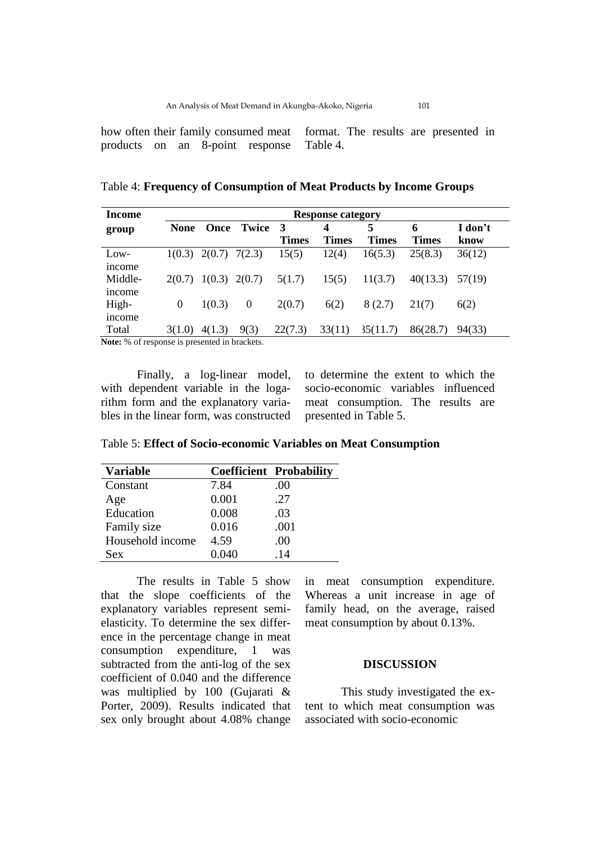how often their family consumed meat products on an 8-point response format. The results are presented in Table 4.

Table 4: **Frequency of Consumption of Meat Products by Income Groups**

| <b>Income</b>                                 | <b>Response category</b> |                 |              |              |              |              |              |         |
|-----------------------------------------------|--------------------------|-----------------|--------------|--------------|--------------|--------------|--------------|---------|
| group                                         | <b>None</b>              | Once            | <b>Twice</b> | 3            | 4            | 5            | 6            | I don't |
|                                               |                          |                 |              | <b>Times</b> | <b>Times</b> | <b>Times</b> | <b>Times</b> | know    |
| Low-                                          | 1(0.3)                   | $2(0.7)$ 7(2.3) |              | 15(5)        | 12(4)        | 16(5.3)      | 25(8.3)      | 36(12)  |
| income                                        |                          |                 |              |              |              |              |              |         |
| Middle-                                       | 20.7)                    | 1(0.3)          | 2(0.7)       | 5(1.7)       | 15(5)        | 11(3.7)      | 40(13.3)     | 57(19)  |
| income                                        |                          |                 |              |              |              |              |              |         |
| High-                                         | $\Omega$                 | 1(0.3)          | $\theta$     | 2(0.7)       | 6(2)         | 8(2.7)       | 21(7)        | 6(2)    |
| income                                        |                          |                 |              |              |              |              |              |         |
| Total                                         | 3(1.0)                   | 4(1.3)          | 9(3)         | 22(7.3)      | 33(11)       | 35(11.7)     | 86(28.7)     | 94(33)  |
| Note: % of response is presented in brackets. |                          |                 |              |              |              |              |              |         |

Finally, a log-linear model, with dependent variable in the logarithm form and the explanatory variables in the linear form, was constructed

to determine the extent to which the socio-economic variables influenced meat consumption. The results are presented in Table 5.

| <b>Variable</b>  |       | <b>Coefficient Probability</b> |
|------------------|-------|--------------------------------|
| Constant         | 7.84  | .00                            |
| Age              | 0.001 | .27                            |
| Education        | 0.008 | .03                            |
| Family size      | 0.016 | .001                           |
| Household income | 4.59  | .00                            |
| Sex              | 0.040 | -14                            |

Table 5: **Effect of Socio-economic Variables on Meat Consumption**

The results in Table 5 show that the slope coefficients of the explanatory variables represent semielasticity. To determine the sex difference in the percentage change in meat consumption expenditure, 1 was subtracted from the anti-log of the sex coefficient of 0.040 and the difference was multiplied by 100 (Gujarati & Porter, 2009). Results indicated that sex only brought about 4.08% change

in meat consumption expenditure. Whereas a unit increase in age of family head, on the average, raised meat consumption by about 0.13%.

## **DISCUSSION**

This study investigated the extent to which meat consumption was associated with socio-economic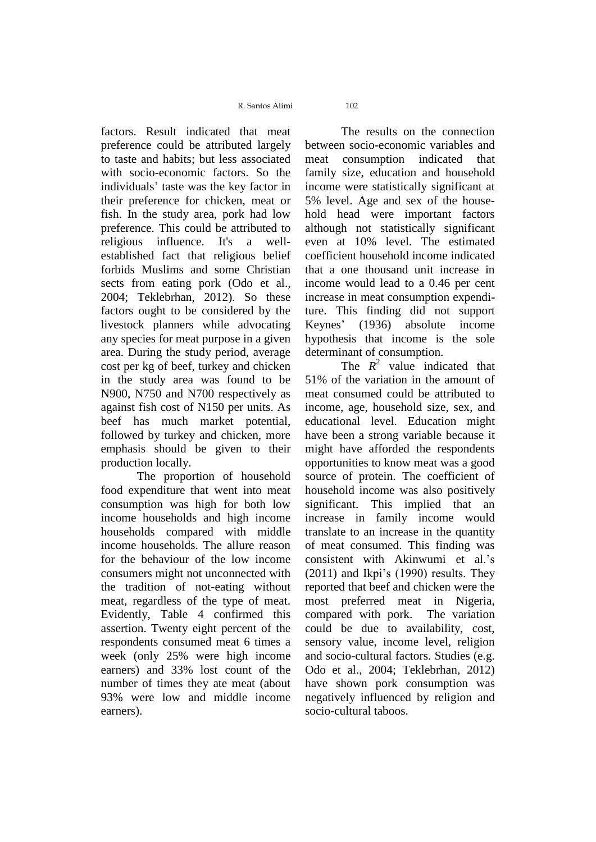R. Santos Alimi 102

factors. Result indicated that meat preference could be attributed largely to taste and habits; but less associated with socio-economic factors. So the individuals' taste was the key factor in their preference for chicken, meat or fish. In the study area, pork had low preference. This could be attributed to religious influence. It's a wellestablished fact that religious belief forbids Muslims and some Christian sects from eating pork (Odo et al., 2004; Teklebrhan, 2012). So these factors ought to be considered by the livestock planners while advocating any species for meat purpose in a given area. During the study period, average cost per kg of beef, turkey and chicken in the study area was found to be N900, N750 and N700 respectively as against fish cost of N150 per units. As beef has much market potential, followed by turkey and chicken, more emphasis should be given to their production locally.

The proportion of household food expenditure that went into meat consumption was high for both low income households and high income households compared with middle income households. The allure reason for the behaviour of the low income consumers might not unconnected with the tradition of not-eating without meat, regardless of the type of meat. Evidently, Table 4 confirmed this assertion. Twenty eight percent of the respondents consumed meat 6 times a week (only 25% were high income earners) and 33% lost count of the number of times they ate meat (about 93% were low and middle income earners).

The results on the connection between socio-economic variables and meat consumption indicated that family size, education and household income were statistically significant at 5% level. Age and sex of the household head were important factors although not statistically significant even at 10% level. The estimated coefficient household income indicated that a one thousand unit increase in income would lead to a 0.46 per cent increase in meat consumption expenditure. This finding did not support Keynes' (1936) absolute income hypothesis that income is the sole determinant of consumption.

The  $R^2$  value indicated that 51% of the variation in the amount of meat consumed could be attributed to income, age, household size, sex, and educational level. Education might have been a strong variable because it might have afforded the respondents opportunities to know meat was a good source of protein. The coefficient of household income was also positively significant. This implied that an increase in family income would translate to an increase in the quantity of meat consumed. This finding was consistent with Akinwumi et al.'s (2011) and Ikpi's (1990) results. They reported that beef and chicken were the most preferred meat in Nigeria, compared with pork. The variation could be due to availability, cost, sensory value, income level, religion and socio-cultural factors. Studies (e.g. Odo et al., 2004; Teklebrhan, 2012) have shown pork consumption was negatively influenced by religion and socio-cultural taboos.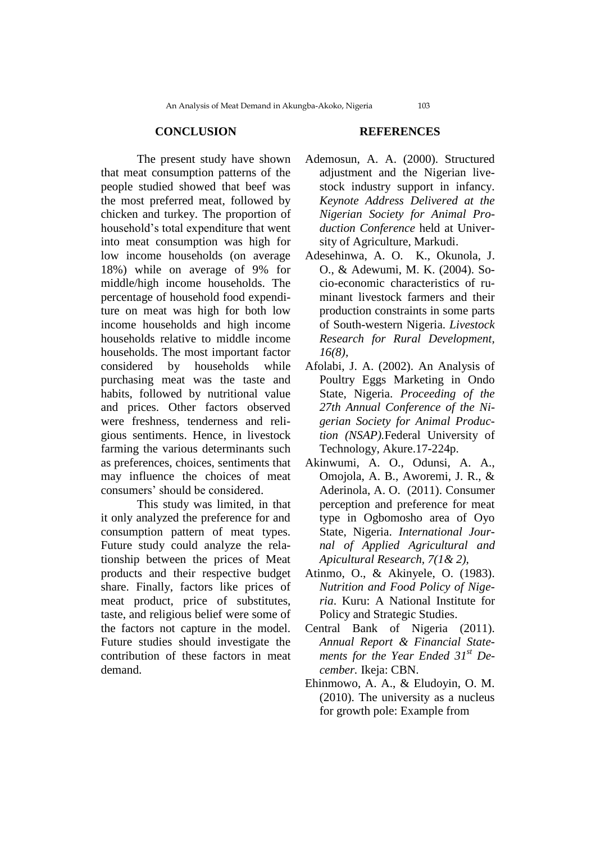### **CONCLUSION**

The present study have shown that meat consumption patterns of the people studied showed that beef was the most preferred meat, followed by chicken and turkey. The proportion of household's total expenditure that went into meat consumption was high for low income households (on average 18%) while on average of 9% for middle/high income households. The percentage of household food expenditure on meat was high for both low income households and high income households relative to middle income households. The most important factor considered by households while purchasing meat was the taste and habits, followed by nutritional value and prices. Other factors observed were freshness, tenderness and religious sentiments. Hence, in livestock farming the various determinants such as preferences, choices, sentiments that may influence the choices of meat consumers' should be considered.

This study was limited, in that it only analyzed the preference for and consumption pattern of meat types. Future study could analyze the relationship between the prices of Meat products and their respective budget share. Finally, factors like prices of meat product, price of substitutes, taste, and religious belief were some of the factors not capture in the model. Future studies should investigate the contribution of these factors in meat demand.

# **REFERENCES**

- Ademosun, A. A. (2000). Structured adjustment and the Nigerian livestock industry support in infancy. *Keynote Address Delivered at the Nigerian Society for Animal Production Conference* held at University of Agriculture, Markudi.
- Adesehinwa, A. O. K., Okunola, J. O., & Adewumi, M. K. (2004). Socio-economic characteristics of ruminant livestock farmers and their production constraints in some parts of South-western Nigeria. *Livestock Research for Rural Development, 16(8),*
- Afolabi, J. A. (2002). An Analysis of Poultry Eggs Marketing in Ondo State, Nigeria. *Proceeding of the 27th Annual Conference of the Nigerian Society for Animal Production (NSAP).*Federal University of Technology, Akure.17-224p.
- Akinwumi, A. O., Odunsi, A. A., Omojola, A. B., Aworemi, J. R., & Aderinola, A. O. (2011). Consumer perception and preference for meat type in Ogbomosho area of Oyo State, Nigeria. *International Journal of Applied Agricultural and Apicultural Research, 7(1& 2),*
- Atinmo, O., & Akinyele, O. (1983). *Nutrition and Food Policy of Nigeria*. Kuru: A National Institute for Policy and Strategic Studies.
- Central Bank of Nigeria (2011). *Annual Report & Financial Statements for the Year Ended 31st December.* Ikeja: CBN.
- Ehinmowo, A. A., & Eludoyin, O. M. (2010). The university as a nucleus for growth pole: Example from